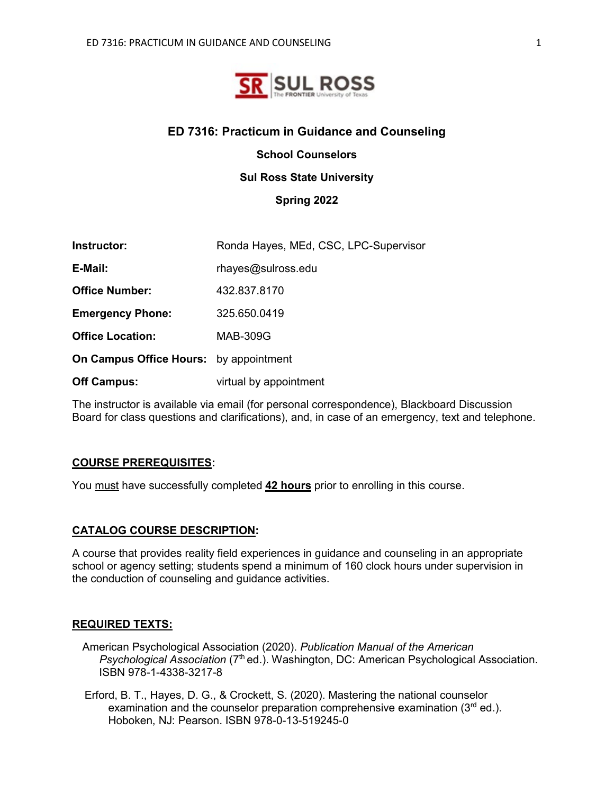

#### **ED 7316: Practicum in Guidance and Counseling**

**School Counselors** 

#### **Sul Ross State University**

**Spring 2022**

| Instructor:                                   | Ronda Hayes, MEd, CSC, LPC-Supervisor |
|-----------------------------------------------|---------------------------------------|
| E-Mail:                                       | rhayes@sulross.edu                    |
| <b>Office Number:</b>                         | 432.837.8170                          |
| <b>Emergency Phone:</b>                       | 325.650.0419                          |
| <b>Office Location:</b>                       | <b>MAB-309G</b>                       |
| <b>On Campus Office Hours:</b> by appointment |                                       |
| <b>Off Campus:</b>                            | virtual by appointment                |

The instructor is available via email (for personal correspondence), Blackboard Discussion Board for class questions and clarifications), and, in case of an emergency, text and telephone.

#### **COURSE PREREQUISITES:**

You must have successfully completed **42 hours** prior to enrolling in this course.

#### **CATALOG COURSE DESCRIPTION:**

A course that provides reality field experiences in guidance and counseling in an appropriate school or agency setting; students spend a minimum of 160 clock hours under supervision in the conduction of counseling and guidance activities.

#### **REQUIRED TEXTS:**

- American Psychological Association (2020). *Publication Manual of the American Psychological Association* (7th ed.). Washington, DC: American Psychological Association. ISBN 978-1-4338-3217-8
- Erford, B. T., Hayes, D. G., & Crockett, S. (2020). Mastering the national counselor examination and the counselor preparation comprehensive examination  $(3<sup>rd</sup>$  ed.). Hoboken, NJ: Pearson. ISBN 978-0-13-519245-0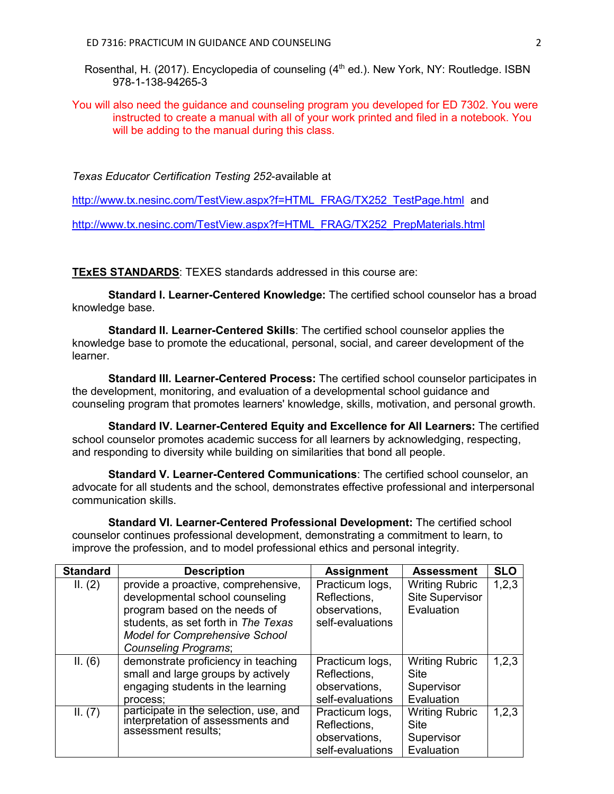- Rosenthal, H. (2017). Encyclopedia of counseling (4<sup>th</sup> ed.). New York, NY: Routledge. ISBN 978-1-138-94265-3
- You will also need the guidance and counseling program you developed for ED 7302. You were instructed to create a manual with all of your work printed and filed in a notebook. You will be adding to the manual during this class.

*Texas Educator Certification Testing 252*-available at

[http://www.tx.nesinc.com/TestView.aspx?f=HTML\\_FRAG/TX252\\_TestPage.html](http://www.tx.nesinc.com/TestView.aspx?f=HTML_FRAG/TX252_TestPage.html) and

[http://www.tx.nesinc.com/TestView.aspx?f=HTML\\_FRAG/TX252\\_PrepMaterials.html](http://www.tx.nesinc.com/TestView.aspx?f=HTML_FRAG/TX252_PrepMaterials.html)

**TExES STANDARDS**: TEXES standards addressed in this course are:

**Standard I. Learner-Centered Knowledge:** The certified school counselor has a broad knowledge base.

**Standard II. Learner-Centered Skills**: The certified school counselor applies the knowledge base to promote the educational, personal, social, and career development of the learner.

**Standard III. Learner-Centered Process:** The certified school counselor participates in the development, monitoring, and evaluation of a developmental school guidance and counseling program that promotes learners' knowledge, skills, motivation, and personal growth.

**Standard IV. Learner-Centered Equity and Excellence for All Learners:** The certified school counselor promotes academic success for all learners by acknowledging, respecting, and responding to diversity while building on similarities that bond all people.

**Standard V. Learner-Centered Communications**: The certified school counselor, an advocate for all students and the school, demonstrates effective professional and interpersonal communication skills.

**Standard VI. Learner-Centered Professional Development:** The certified school counselor continues professional development, demonstrating a commitment to learn, to improve the profession, and to model professional ethics and personal integrity.

| <b>Standard</b> | <b>Description</b>                                                                                                                                                                                                     | <b>Assignment</b>                                                    | <b>Assessment</b>                                             | <b>SLO</b> |
|-----------------|------------------------------------------------------------------------------------------------------------------------------------------------------------------------------------------------------------------------|----------------------------------------------------------------------|---------------------------------------------------------------|------------|
| II. (2)         | provide a proactive, comprehensive,<br>developmental school counseling<br>program based on the needs of<br>students, as set forth in The Texas<br><b>Model for Comprehensive School</b><br><b>Counseling Programs;</b> | Practicum logs,<br>Reflections,<br>observations,<br>self-evaluations | <b>Writing Rubric</b><br><b>Site Supervisor</b><br>Evaluation | 1,2,3      |
| II. (6)         | demonstrate proficiency in teaching<br>small and large groups by actively<br>engaging students in the learning<br>process;                                                                                             | Practicum logs,<br>Reflections,<br>observations,<br>self-evaluations | <b>Writing Rubric</b><br>Site<br>Supervisor<br>Evaluation     | 1,2,3      |
| II. (7)         | participate in the selection, use, and<br>interpretation of assessments and<br>assessment results;                                                                                                                     | Practicum logs,<br>Reflections,<br>observations,<br>self-evaluations | <b>Writing Rubric</b><br>Site<br>Supervisor<br>Evaluation     | 1,2,3      |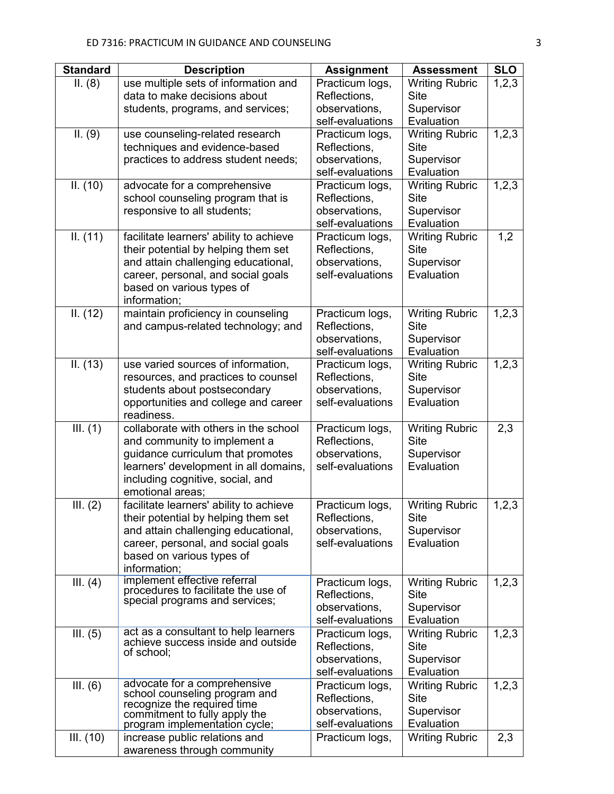| <b>Standard</b> | <b>Description</b>                                                                                                                                                                                          | <b>Assignment</b>                                                    | <b>Assessment</b>                                                | <b>SLO</b> |
|-----------------|-------------------------------------------------------------------------------------------------------------------------------------------------------------------------------------------------------------|----------------------------------------------------------------------|------------------------------------------------------------------|------------|
| II. (8)         | use multiple sets of information and<br>data to make decisions about<br>students, programs, and services;                                                                                                   | Practicum logs,<br>Reflections,<br>observations,                     | <b>Writing Rubric</b><br><b>Site</b><br>Supervisor               | 1,2,3      |
|                 |                                                                                                                                                                                                             | self-evaluations                                                     | Evaluation                                                       |            |
| II. (9)         | use counseling-related research<br>techniques and evidence-based<br>practices to address student needs;                                                                                                     | Practicum logs,<br>Reflections,<br>observations,<br>self-evaluations | <b>Writing Rubric</b><br><b>Site</b><br>Supervisor<br>Evaluation | 1,2,3      |
| II. (10)        | advocate for a comprehensive<br>school counseling program that is<br>responsive to all students;                                                                                                            | Practicum logs,<br>Reflections,<br>observations,<br>self-evaluations | <b>Writing Rubric</b><br><b>Site</b><br>Supervisor<br>Evaluation | 1,2,3      |
| II. (11)        | facilitate learners' ability to achieve<br>their potential by helping them set<br>and attain challenging educational,<br>career, personal, and social goals<br>based on various types of<br>information;    | Practicum logs,<br>Reflections,<br>observations,<br>self-evaluations | <b>Writing Rubric</b><br><b>Site</b><br>Supervisor<br>Evaluation | 1,2        |
| II. (12)        | maintain proficiency in counseling<br>and campus-related technology; and                                                                                                                                    | Practicum logs,<br>Reflections,<br>observations,<br>self-evaluations | <b>Writing Rubric</b><br><b>Site</b><br>Supervisor<br>Evaluation | 1, 2, 3    |
| II. (13)        | use varied sources of information,<br>resources, and practices to counsel<br>students about postsecondary<br>opportunities and college and career<br>readiness.                                             | Practicum logs,<br>Reflections,<br>observations,<br>self-evaluations | <b>Writing Rubric</b><br><b>Site</b><br>Supervisor<br>Evaluation | 1, 2, 3    |
| III. (1)        | collaborate with others in the school<br>and community to implement a<br>guidance curriculum that promotes<br>learners' development in all domains,<br>including cognitive, social, and<br>emotional areas; | Practicum logs,<br>Reflections,<br>observations,<br>self-evaluations | <b>Writing Rubric</b><br><b>Site</b><br>Supervisor<br>Evaluation | 2,3        |
| III. (2)        | facilitate learners' ability to achieve<br>their potential by helping them set<br>and attain challenging educational,<br>career, personal, and social goals<br>based on various types of<br>information;    | Practicum logs,<br>Reflections,<br>observations,<br>self-evaluations | <b>Writing Rubric</b><br><b>Site</b><br>Supervisor<br>Evaluation | 1, 2, 3    |
| III. $(4)$      | implement effective referral<br>procedures to facilitate the use of<br>special programs and services;                                                                                                       | Practicum logs,<br>Reflections,<br>observations,<br>self-evaluations | <b>Writing Rubric</b><br><b>Site</b><br>Supervisor<br>Evaluation | 1, 2, 3    |
| III. $(5)$      | act as a consultant to help learners<br>achieve success inside and outside<br>of school;                                                                                                                    | Practicum logs,<br>Reflections,<br>observations,<br>self-evaluations | <b>Writing Rubric</b><br><b>Site</b><br>Supervisor<br>Evaluation | 1,2,3      |
| III. $(6)$      | advocate for a comprehensive<br>school counseling program and<br>recognize the required time<br>commitment to fully apply the<br>program implementation cycle;                                              | Practicum logs,<br>Reflections,<br>observations,<br>self-evaluations | <b>Writing Rubric</b><br><b>Site</b><br>Supervisor<br>Evaluation | 1, 2, 3    |
| III. (10)       | increase public relations and<br>awareness through community                                                                                                                                                | Practicum logs,                                                      | <b>Writing Rubric</b>                                            | 2,3        |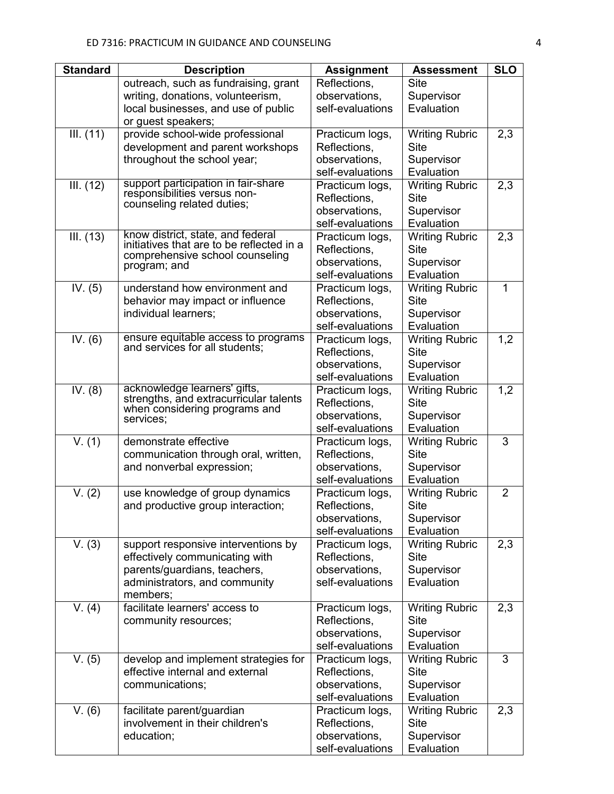| <b>Standard</b> | <b>Description</b>                                                    | <b>Assignment</b>               | <b>Assessment</b>             | <b>SLO</b>     |
|-----------------|-----------------------------------------------------------------------|---------------------------------|-------------------------------|----------------|
|                 | outreach, such as fundraising, grant                                  | Reflections,                    | <b>Site</b>                   |                |
|                 | writing, donations, volunteerism,                                     | observations,                   | Supervisor                    |                |
|                 | local businesses, and use of public                                   | self-evaluations                | Evaluation                    |                |
|                 | or guest speakers;                                                    |                                 |                               |                |
| III. (11)       | provide school-wide professional                                      | Practicum logs,                 | <b>Writing Rubric</b>         | 2,3            |
|                 | development and parent workshops                                      | Reflections,                    | <b>Site</b>                   |                |
|                 | throughout the school year;                                           | observations,                   | Supervisor                    |                |
|                 |                                                                       | self-evaluations                | Evaluation                    |                |
| III. (12)       | support participation in fair-share<br>responsibilities versus non-   | Practicum logs,                 | <b>Writing Rubric</b>         | 2,3            |
|                 | counseling related duties;                                            | Reflections,                    | <b>Site</b>                   |                |
|                 |                                                                       | observations,                   | Supervisor                    |                |
|                 | know district, state, and federal                                     | self-evaluations                | Evaluation                    |                |
| III. (13)       | initiatives that are to be reflected in a                             | Practicum logs,                 | <b>Writing Rubric</b>         | 2,3            |
|                 | comprehensive school counseling                                       | Reflections,<br>observations,   | <b>Site</b>                   |                |
|                 | program; and                                                          | self-evaluations                | Supervisor<br>Evaluation      |                |
| IV. $(5)$       | understand how environment and                                        | Practicum logs,                 | <b>Writing Rubric</b>         | $\mathbf{1}$   |
|                 | behavior may impact or influence                                      | Reflections,                    | <b>Site</b>                   |                |
|                 | individual learners;                                                  | observations,                   | Supervisor                    |                |
|                 |                                                                       | self-evaluations                | Evaluation                    |                |
| IV. $(6)$       | ensure equitable access to programs<br>and services for all students; | Practicum logs,                 | <b>Writing Rubric</b>         | 1,2            |
|                 |                                                                       | Reflections,                    | <b>Site</b>                   |                |
|                 |                                                                       | observations,                   | Supervisor                    |                |
|                 |                                                                       | self-evaluations                | Evaluation                    |                |
| IV. (8)         | acknowledge learners' gifts,                                          | Practicum logs,                 | <b>Writing Rubric</b>         | 1,2            |
|                 | strengths, and extracurricular talents                                | Reflections,                    | <b>Site</b>                   |                |
|                 | when considering programs and<br>services;                            | observations,                   | Supervisor                    |                |
|                 |                                                                       | self-evaluations                | Evaluation                    |                |
| V. (1)          | demonstrate effective                                                 | Practicum logs,                 | <b>Writing Rubric</b>         | 3              |
|                 | communication through oral, written,                                  | Reflections,                    | <b>Site</b>                   |                |
|                 | and nonverbal expression;                                             | observations,                   | Supervisor                    |                |
|                 |                                                                       | self-evaluations                | Evaluation                    |                |
| V. (2)          | use knowledge of group dynamics                                       | Practicum logs,                 | <b>Writing Rubric</b>         | $\overline{2}$ |
|                 | and productive group interaction;                                     | Reflections,                    | <b>Site</b>                   |                |
|                 |                                                                       | observations,                   | Supervisor                    |                |
|                 |                                                                       | self-evaluations                | Evaluation                    |                |
| V. (3)          | support responsive interventions by<br>effectively communicating with | Practicum logs,<br>Reflections, | <b>Writing Rubric</b><br>Site | 2,3            |
|                 | parents/guardians, teachers,                                          | observations,                   | Supervisor                    |                |
|                 | administrators, and community                                         | self-evaluations                | Evaluation                    |                |
|                 | members;                                                              |                                 |                               |                |
| V. (4)          | facilitate learners' access to                                        | Practicum logs,                 | <b>Writing Rubric</b>         | 2,3            |
|                 | community resources;                                                  | Reflections,                    | <b>Site</b>                   |                |
|                 |                                                                       | observations,                   | Supervisor                    |                |
|                 |                                                                       | self-evaluations                | Evaluation                    |                |
| V. (5)          | develop and implement strategies for                                  | Practicum logs,                 | <b>Writing Rubric</b>         | 3              |
|                 | effective internal and external                                       | Reflections,                    | <b>Site</b>                   |                |
|                 | communications;                                                       | observations,                   | Supervisor                    |                |
|                 |                                                                       | self-evaluations                | Evaluation                    |                |
| V. (6)          | facilitate parent/guardian                                            | Practicum logs,                 | <b>Writing Rubric</b>         | 2,3            |
|                 | involvement in their children's                                       | Reflections,                    | <b>Site</b>                   |                |
|                 | education;                                                            | observations,                   | Supervisor                    |                |
|                 |                                                                       | self-evaluations                | Evaluation                    |                |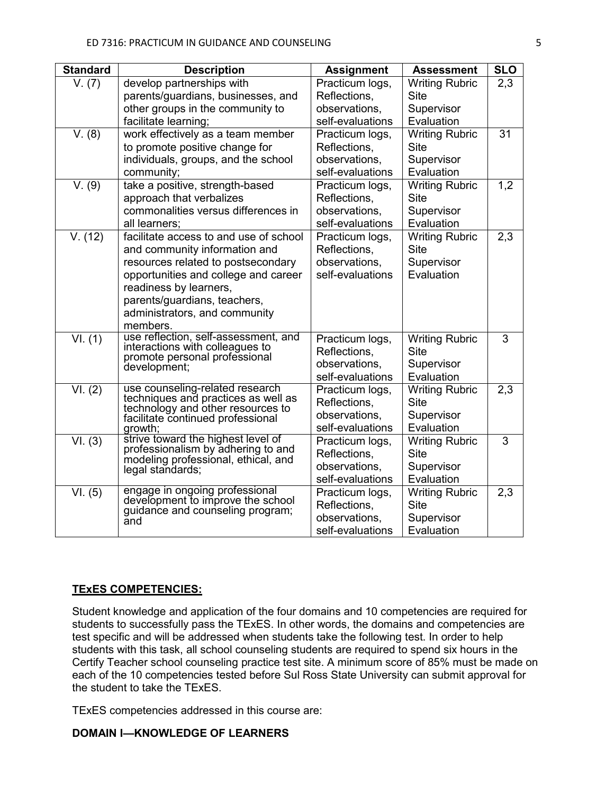| <b>Standard</b>            | <b>Description</b>                                                       | <b>Assignment</b> | <b>Assessment</b>     | <b>SLO</b>       |
|----------------------------|--------------------------------------------------------------------------|-------------------|-----------------------|------------------|
| V. (7)                     | develop partnerships with                                                | Practicum logs,   | <b>Writing Rubric</b> | 2,3              |
|                            | parents/guardians, businesses, and                                       | Reflections,      | <b>Site</b>           |                  |
|                            | other groups in the community to                                         | observations,     | Supervisor            |                  |
|                            | facilitate learning;                                                     | self-evaluations  | Evaluation            |                  |
| V. (8)                     | work effectively as a team member                                        | Practicum logs,   | <b>Writing Rubric</b> | 31               |
|                            | to promote positive change for                                           | Reflections,      | <b>Site</b>           |                  |
|                            | individuals, groups, and the school                                      | observations,     | Supervisor            |                  |
|                            | community;                                                               | self-evaluations  | Evaluation            |                  |
| $\bar{V}$ . (9)            | take a positive, strength-based                                          | Practicum logs,   | <b>Writing Rubric</b> | 1,2              |
|                            | approach that verbalizes                                                 | Reflections,      | <b>Site</b>           |                  |
|                            | commonalities versus differences in                                      | observations,     | Supervisor            |                  |
|                            | all learners;                                                            | self-evaluations  | Evaluation            |                  |
| V. (12)                    | facilitate access to and use of school                                   | Practicum logs,   | <b>Writing Rubric</b> | 2,3              |
|                            | and community information and                                            | Reflections,      | <b>Site</b>           |                  |
|                            | resources related to postsecondary                                       | observations,     | Supervisor            |                  |
|                            | opportunities and college and career                                     | self-evaluations  | Evaluation            |                  |
|                            | readiness by learners,                                                   |                   |                       |                  |
|                            | parents/guardians, teachers,                                             |                   |                       |                  |
|                            | administrators, and community                                            |                   |                       |                  |
|                            | members.                                                                 |                   |                       |                  |
| $\overline{\text{VI.}}(1)$ | use reflection, self-assessment, and<br>interactions with colleagues to  | Practicum logs,   | <b>Writing Rubric</b> | 3                |
|                            | promote personal professional                                            | Reflections,      | <b>Site</b>           |                  |
|                            | development;                                                             | observations,     | Supervisor            |                  |
|                            |                                                                          | self-evaluations  | Evaluation            |                  |
| VI. (2)                    | use counseling-related research<br>techniques and practices as well as   | Practicum logs,   | <b>Writing Rubric</b> | $\overline{2,3}$ |
|                            | technology and other resources to                                        | Reflections.      | <b>Site</b>           |                  |
|                            | facilitate continued professional                                        | observations,     | Supervisor            |                  |
|                            | growth;                                                                  | self-evaluations  | Evaluation            |                  |
| VI. (3)                    | strive toward the highest level of<br>professionalism by adhering to and | Practicum logs,   | <b>Writing Rubric</b> | 3                |
|                            | modeling professional, ethical, and                                      | Reflections,      | <b>Site</b>           |                  |
|                            | legal standards;                                                         | observations,     | Supervisor            |                  |
|                            |                                                                          | self-evaluations  | Evaluation            |                  |
| VI. (5)                    | engage in ongoing professional<br>development to improve the school      | Practicum logs,   | <b>Writing Rubric</b> | 2,3              |
|                            | guidance and counseling program;                                         | Reflections,      | <b>Site</b>           |                  |
|                            | and                                                                      | observations,     | Supervisor            |                  |
|                            |                                                                          | self-evaluations  | Evaluation            |                  |

#### **TExES COMPETENCIES:**

Student knowledge and application of the four domains and 10 competencies are required for students to successfully pass the TExES. In other words, the domains and competencies are test specific and will be addressed when students take the following test. In order to help students with this task, all school counseling students are required to spend six hours in the Certify Teacher school counseling practice test site. A minimum score of 85% must be made on each of the 10 competencies tested before Sul Ross State University can submit approval for the student to take the TExES.

TExES competencies addressed in this course are:

#### **DOMAIN I—KNOWLEDGE OF LEARNERS**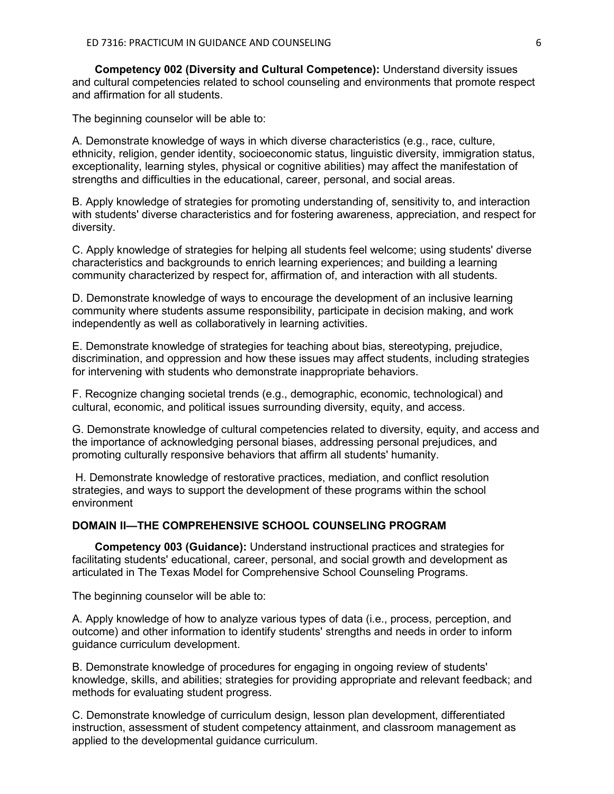**Competency 002 (Diversity and Cultural Competence):** Understand diversity issues and cultural competencies related to school counseling and environments that promote respect and affirmation for all students.

The beginning counselor will be able to:

A. Demonstrate knowledge of ways in which diverse characteristics (e.g., race, culture, ethnicity, religion, gender identity, socioeconomic status, linguistic diversity, immigration status, exceptionality, learning styles, physical or cognitive abilities) may affect the manifestation of strengths and difficulties in the educational, career, personal, and social areas.

B. Apply knowledge of strategies for promoting understanding of, sensitivity to, and interaction with students' diverse characteristics and for fostering awareness, appreciation, and respect for diversity.

C. Apply knowledge of strategies for helping all students feel welcome; using students' diverse characteristics and backgrounds to enrich learning experiences; and building a learning community characterized by respect for, affirmation of, and interaction with all students.

D. Demonstrate knowledge of ways to encourage the development of an inclusive learning community where students assume responsibility, participate in decision making, and work independently as well as collaboratively in learning activities.

E. Demonstrate knowledge of strategies for teaching about bias, stereotyping, prejudice, discrimination, and oppression and how these issues may affect students, including strategies for intervening with students who demonstrate inappropriate behaviors.

F. Recognize changing societal trends (e.g., demographic, economic, technological) and cultural, economic, and political issues surrounding diversity, equity, and access.

G. Demonstrate knowledge of cultural competencies related to diversity, equity, and access and the importance of acknowledging personal biases, addressing personal prejudices, and promoting culturally responsive behaviors that affirm all students' humanity.

H. Demonstrate knowledge of restorative practices, mediation, and conflict resolution strategies, and ways to support the development of these programs within the school environment

## **DOMAIN II—THE COMPREHENSIVE SCHOOL COUNSELING PROGRAM**

**Competency 003 (Guidance):** Understand instructional practices and strategies for facilitating students' educational, career, personal, and social growth and development as articulated in The Texas Model for Comprehensive School Counseling Programs.

The beginning counselor will be able to:

A. Apply knowledge of how to analyze various types of data (i.e., process, perception, and outcome) and other information to identify students' strengths and needs in order to inform guidance curriculum development.

B. Demonstrate knowledge of procedures for engaging in ongoing review of students' knowledge, skills, and abilities; strategies for providing appropriate and relevant feedback; and methods for evaluating student progress.

C. Demonstrate knowledge of curriculum design, lesson plan development, differentiated instruction, assessment of student competency attainment, and classroom management as applied to the developmental guidance curriculum.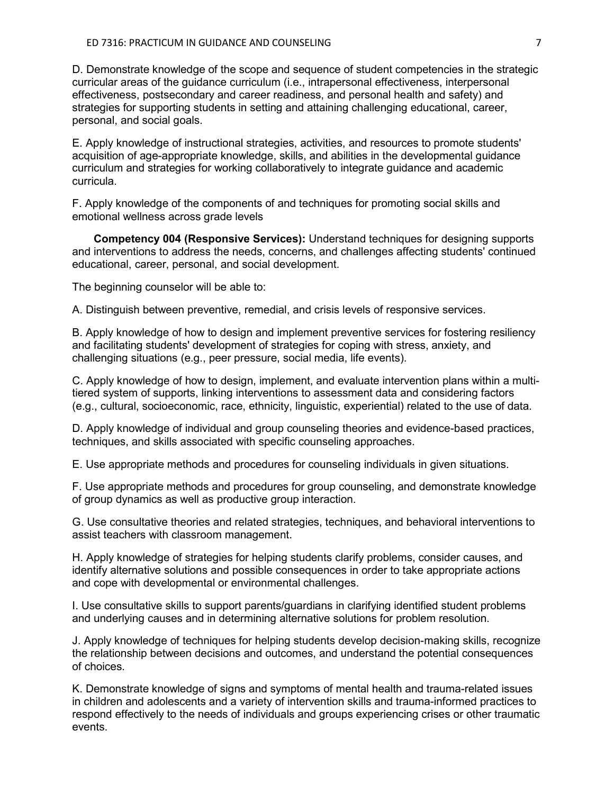D. Demonstrate knowledge of the scope and sequence of student competencies in the strategic curricular areas of the guidance curriculum (i.e., intrapersonal effectiveness, interpersonal effectiveness, postsecondary and career readiness, and personal health and safety) and strategies for supporting students in setting and attaining challenging educational, career, personal, and social goals.

E. Apply knowledge of instructional strategies, activities, and resources to promote students' acquisition of age-appropriate knowledge, skills, and abilities in the developmental guidance curriculum and strategies for working collaboratively to integrate guidance and academic curricula.

F. Apply knowledge of the components of and techniques for promoting social skills and emotional wellness across grade levels

 **Competency 004 (Responsive Services):** Understand techniques for designing supports and interventions to address the needs, concerns, and challenges affecting students' continued educational, career, personal, and social development.

The beginning counselor will be able to:

A. Distinguish between preventive, remedial, and crisis levels of responsive services.

B. Apply knowledge of how to design and implement preventive services for fostering resiliency and facilitating students' development of strategies for coping with stress, anxiety, and challenging situations (e.g., peer pressure, social media, life events).

C. Apply knowledge of how to design, implement, and evaluate intervention plans within a multitiered system of supports, linking interventions to assessment data and considering factors (e.g., cultural, socioeconomic, race, ethnicity, linguistic, experiential) related to the use of data.

D. Apply knowledge of individual and group counseling theories and evidence-based practices, techniques, and skills associated with specific counseling approaches.

E. Use appropriate methods and procedures for counseling individuals in given situations.

F. Use appropriate methods and procedures for group counseling, and demonstrate knowledge of group dynamics as well as productive group interaction.

G. Use consultative theories and related strategies, techniques, and behavioral interventions to assist teachers with classroom management.

H. Apply knowledge of strategies for helping students clarify problems, consider causes, and identify alternative solutions and possible consequences in order to take appropriate actions and cope with developmental or environmental challenges.

I. Use consultative skills to support parents/guardians in clarifying identified student problems and underlying causes and in determining alternative solutions for problem resolution.

J. Apply knowledge of techniques for helping students develop decision-making skills, recognize the relationship between decisions and outcomes, and understand the potential consequences of choices.

K. Demonstrate knowledge of signs and symptoms of mental health and trauma-related issues in children and adolescents and a variety of intervention skills and trauma-informed practices to respond effectively to the needs of individuals and groups experiencing crises or other traumatic events.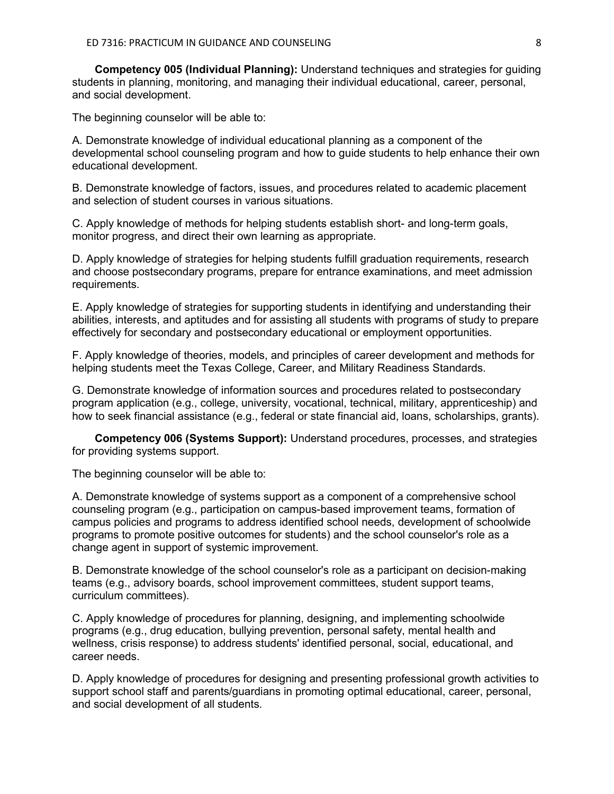**Competency 005 (Individual Planning):** Understand techniques and strategies for guiding students in planning, monitoring, and managing their individual educational, career, personal, and social development.

The beginning counselor will be able to:

A. Demonstrate knowledge of individual educational planning as a component of the developmental school counseling program and how to guide students to help enhance their own educational development.

B. Demonstrate knowledge of factors, issues, and procedures related to academic placement and selection of student courses in various situations.

C. Apply knowledge of methods for helping students establish short- and long-term goals, monitor progress, and direct their own learning as appropriate.

D. Apply knowledge of strategies for helping students fulfill graduation requirements, research and choose postsecondary programs, prepare for entrance examinations, and meet admission requirements.

E. Apply knowledge of strategies for supporting students in identifying and understanding their abilities, interests, and aptitudes and for assisting all students with programs of study to prepare effectively for secondary and postsecondary educational or employment opportunities.

F. Apply knowledge of theories, models, and principles of career development and methods for helping students meet the Texas College, Career, and Military Readiness Standards.

G. Demonstrate knowledge of information sources and procedures related to postsecondary program application (e.g., college, university, vocational, technical, military, apprenticeship) and how to seek financial assistance (e.g., federal or state financial aid, loans, scholarships, grants).

**Competency 006 (Systems Support):** Understand procedures, processes, and strategies for providing systems support.

The beginning counselor will be able to:

A. Demonstrate knowledge of systems support as a component of a comprehensive school counseling program (e.g., participation on campus-based improvement teams, formation of campus policies and programs to address identified school needs, development of schoolwide programs to promote positive outcomes for students) and the school counselor's role as a change agent in support of systemic improvement.

B. Demonstrate knowledge of the school counselor's role as a participant on decision-making teams (e.g., advisory boards, school improvement committees, student support teams, curriculum committees).

C. Apply knowledge of procedures for planning, designing, and implementing schoolwide programs (e.g., drug education, bullying prevention, personal safety, mental health and wellness, crisis response) to address students' identified personal, social, educational, and career needs.

D. Apply knowledge of procedures for designing and presenting professional growth activities to support school staff and parents/guardians in promoting optimal educational, career, personal, and social development of all students.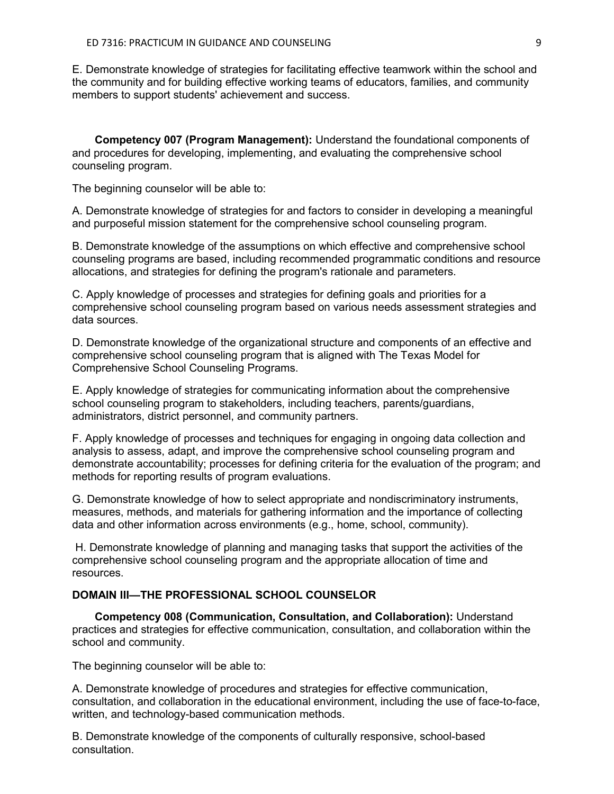E. Demonstrate knowledge of strategies for facilitating effective teamwork within the school and the community and for building effective working teams of educators, families, and community members to support students' achievement and success.

**Competency 007 (Program Management):** Understand the foundational components of and procedures for developing, implementing, and evaluating the comprehensive school counseling program.

The beginning counselor will be able to:

A. Demonstrate knowledge of strategies for and factors to consider in developing a meaningful and purposeful mission statement for the comprehensive school counseling program.

B. Demonstrate knowledge of the assumptions on which effective and comprehensive school counseling programs are based, including recommended programmatic conditions and resource allocations, and strategies for defining the program's rationale and parameters.

C. Apply knowledge of processes and strategies for defining goals and priorities for a comprehensive school counseling program based on various needs assessment strategies and data sources.

D. Demonstrate knowledge of the organizational structure and components of an effective and comprehensive school counseling program that is aligned with The Texas Model for Comprehensive School Counseling Programs.

E. Apply knowledge of strategies for communicating information about the comprehensive school counseling program to stakeholders, including teachers, parents/guardians, administrators, district personnel, and community partners.

F. Apply knowledge of processes and techniques for engaging in ongoing data collection and analysis to assess, adapt, and improve the comprehensive school counseling program and demonstrate accountability; processes for defining criteria for the evaluation of the program; and methods for reporting results of program evaluations.

G. Demonstrate knowledge of how to select appropriate and nondiscriminatory instruments, measures, methods, and materials for gathering information and the importance of collecting data and other information across environments (e.g., home, school, community).

H. Demonstrate knowledge of planning and managing tasks that support the activities of the comprehensive school counseling program and the appropriate allocation of time and resources.

#### **DOMAIN III—THE PROFESSIONAL SCHOOL COUNSELOR**

**Competency 008 (Communication, Consultation, and Collaboration):** Understand practices and strategies for effective communication, consultation, and collaboration within the school and community.

The beginning counselor will be able to:

A. Demonstrate knowledge of procedures and strategies for effective communication, consultation, and collaboration in the educational environment, including the use of face-to-face, written, and technology-based communication methods.

B. Demonstrate knowledge of the components of culturally responsive, school-based consultation.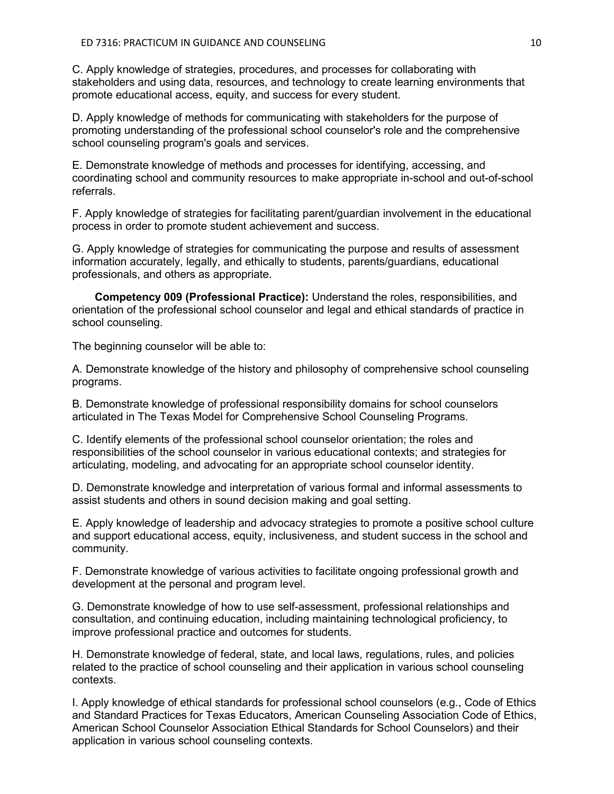C. Apply knowledge of strategies, procedures, and processes for collaborating with stakeholders and using data, resources, and technology to create learning environments that promote educational access, equity, and success for every student.

D. Apply knowledge of methods for communicating with stakeholders for the purpose of promoting understanding of the professional school counselor's role and the comprehensive school counseling program's goals and services.

E. Demonstrate knowledge of methods and processes for identifying, accessing, and coordinating school and community resources to make appropriate in-school and out-of-school referrals.

F. Apply knowledge of strategies for facilitating parent/guardian involvement in the educational process in order to promote student achievement and success.

G. Apply knowledge of strategies for communicating the purpose and results of assessment information accurately, legally, and ethically to students, parents/guardians, educational professionals, and others as appropriate.

**Competency 009 (Professional Practice):** Understand the roles, responsibilities, and orientation of the professional school counselor and legal and ethical standards of practice in school counseling.

The beginning counselor will be able to:

A. Demonstrate knowledge of the history and philosophy of comprehensive school counseling programs.

B. Demonstrate knowledge of professional responsibility domains for school counselors articulated in The Texas Model for Comprehensive School Counseling Programs.

C. Identify elements of the professional school counselor orientation; the roles and responsibilities of the school counselor in various educational contexts; and strategies for articulating, modeling, and advocating for an appropriate school counselor identity.

D. Demonstrate knowledge and interpretation of various formal and informal assessments to assist students and others in sound decision making and goal setting.

E. Apply knowledge of leadership and advocacy strategies to promote a positive school culture and support educational access, equity, inclusiveness, and student success in the school and community.

F. Demonstrate knowledge of various activities to facilitate ongoing professional growth and development at the personal and program level.

G. Demonstrate knowledge of how to use self-assessment, professional relationships and consultation, and continuing education, including maintaining technological proficiency, to improve professional practice and outcomes for students.

H. Demonstrate knowledge of federal, state, and local laws, regulations, rules, and policies related to the practice of school counseling and their application in various school counseling contexts.

I. Apply knowledge of ethical standards for professional school counselors (e.g., Code of Ethics and Standard Practices for Texas Educators, American Counseling Association Code of Ethics, American School Counselor Association Ethical Standards for School Counselors) and their application in various school counseling contexts.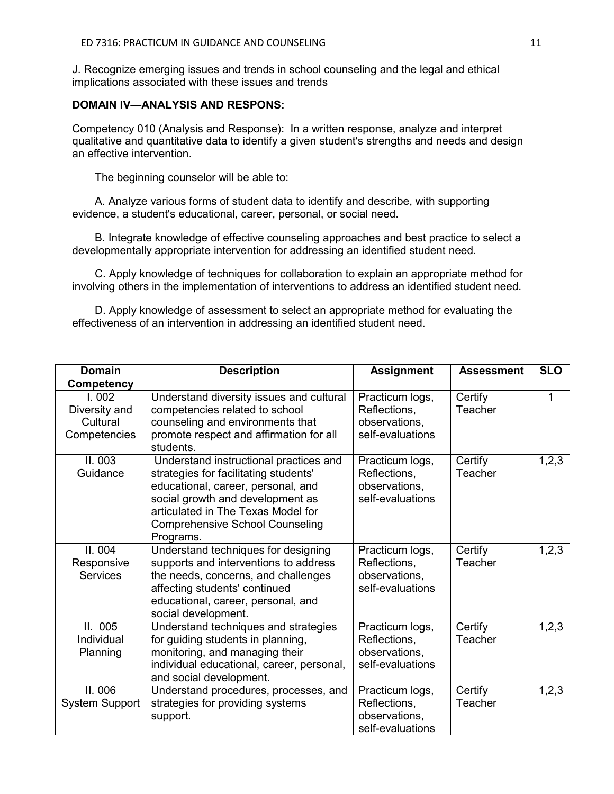J. Recognize emerging issues and trends in school counseling and the legal and ethical implications associated with these issues and trends

#### **DOMAIN IV—ANALYSIS AND RESPONS:**

Competency 010 (Analysis and Response): In a written response, analyze and interpret qualitative and quantitative data to identify a given student's strengths and needs and design an effective intervention.

The beginning counselor will be able to:

A. Analyze various forms of student data to identify and describe, with supporting evidence, a student's educational, career, personal, or social need.

B. Integrate knowledge of effective counseling approaches and best practice to select a developmentally appropriate intervention for addressing an identified student need.

C. Apply knowledge of techniques for collaboration to explain an appropriate method for involving others in the implementation of interventions to address an identified student need.

D. Apply knowledge of assessment to select an appropriate method for evaluating the effectiveness of an intervention in addressing an identified student need.

| <b>Domain</b><br><b>Competency</b>                 | <b>Description</b>                                                                                                                                                                                                                                     | <b>Assignment</b>                                                    | <b>Assessment</b>  | <b>SLO</b> |
|----------------------------------------------------|--------------------------------------------------------------------------------------------------------------------------------------------------------------------------------------------------------------------------------------------------------|----------------------------------------------------------------------|--------------------|------------|
| 1.002<br>Diversity and<br>Cultural<br>Competencies | Understand diversity issues and cultural<br>competencies related to school<br>counseling and environments that<br>promote respect and affirmation for all<br>students.                                                                                 | Practicum logs,<br>Reflections,<br>observations,<br>self-evaluations | Certify<br>Teacher | 1          |
| II.003<br>Guidance                                 | Understand instructional practices and<br>strategies for facilitating students'<br>educational, career, personal, and<br>social growth and development as<br>articulated in The Texas Model for<br><b>Comprehensive School Counseling</b><br>Programs. | Practicum logs,<br>Reflections,<br>observations,<br>self-evaluations | Certify<br>Teacher | 1,2,3      |
| II.004<br>Responsive<br><b>Services</b>            | Understand techniques for designing<br>supports and interventions to address<br>the needs, concerns, and challenges<br>affecting students' continued<br>educational, career, personal, and<br>social development.                                      | Practicum logs,<br>Reflections,<br>observations,<br>self-evaluations | Certify<br>Teacher | 1,2,3      |
| II. 005<br>Individual<br>Planning                  | Understand techniques and strategies<br>for guiding students in planning,<br>monitoring, and managing their<br>individual educational, career, personal,<br>and social development.                                                                    | Practicum logs,<br>Reflections,<br>observations,<br>self-evaluations | Certify<br>Teacher | 1,2,3      |
| II. 006<br><b>System Support</b>                   | Understand procedures, processes, and<br>strategies for providing systems<br>support.                                                                                                                                                                  | Practicum logs,<br>Reflections,<br>observations,<br>self-evaluations | Certify<br>Teacher | 1,2,3      |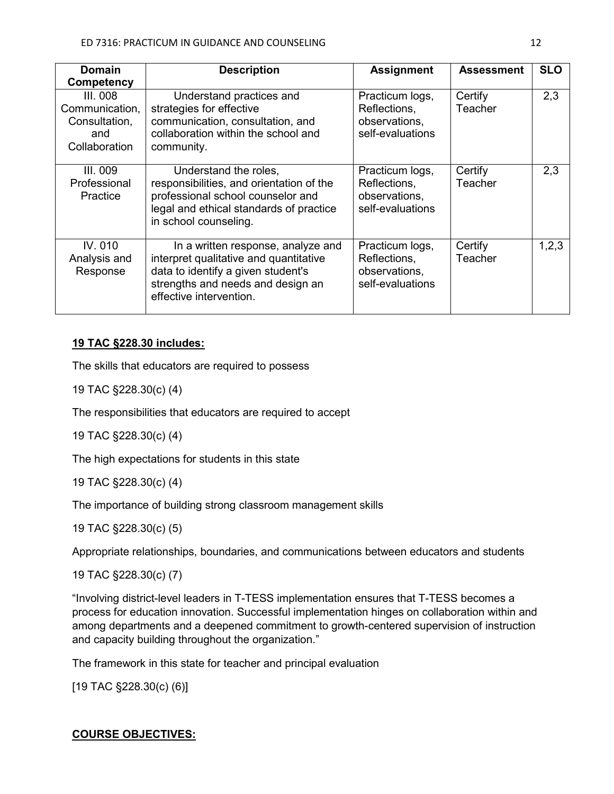| <b>Domain</b><br>Competency                                         | <b>Description</b>                                                                                                                                                                 | <b>Assignment</b>                                                    | <b>Assessment</b>  | <b>SLO</b> |
|---------------------------------------------------------------------|------------------------------------------------------------------------------------------------------------------------------------------------------------------------------------|----------------------------------------------------------------------|--------------------|------------|
| III. 008<br>Communication,<br>Consultation,<br>and<br>Collaboration | Understand practices and<br>strategies for effective<br>communication, consultation, and<br>collaboration within the school and<br>community.                                      | Practicum logs,<br>Reflections,<br>observations.<br>self-evaluations | Certify<br>Teacher | 2,3        |
| III. 009<br>Professional<br>Practice                                | Understand the roles,<br>responsibilities, and orientation of the<br>professional school counselor and<br>legal and ethical standards of practice<br>in school counseling.         | Practicum logs,<br>Reflections,<br>observations,<br>self-evaluations | Certify<br>Teacher | 2,3        |
| IV. 010<br>Analysis and<br>Response                                 | In a written response, analyze and<br>interpret qualitative and quantitative<br>data to identify a given student's<br>strengths and needs and design an<br>effective intervention. | Practicum logs,<br>Reflections,<br>observations,<br>self-evaluations | Certify<br>Teacher | 1,2,3      |

# **19 TAC §228.30 includes:**

The skills that educators are required to possess

19 TAC §228.30(c) (4)

The responsibilities that educators are required to accept

19 TAC §228.30(c) (4)

The high expectations for students in this state

19 TAC §228.30(c) (4)

The importance of building strong classroom management skills

19 TAC §228.30(c) (5)

Appropriate relationships, boundaries, and communications between educators and students

19 TAC §228.30(c) (7)

"Involving district-level leaders in T-TESS implementation ensures that T-TESS becomes a process for education innovation. Successful implementation hinges on collaboration within and among departments and a deepened commitment to growth-centered supervision of instruction and capacity building throughout the organization."

The framework in this state for teacher and principal evaluation

[19 TAC §228.30(c) (6)]

# **COURSE OBJECTIVES:**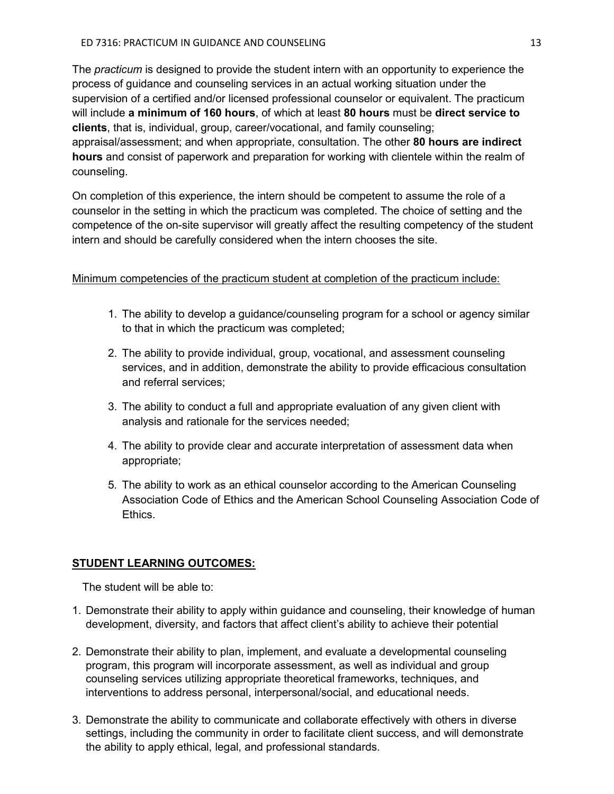The *practicum* is designed to provide the student intern with an opportunity to experience the process of guidance and counseling services in an actual working situation under the supervision of a certified and/or licensed professional counselor or equivalent. The practicum will include **a minimum of 160 hours**, of which at least **80 hours** must be **direct service to clients**, that is, individual, group, career/vocational, and family counseling; appraisal/assessment; and when appropriate, consultation. The other **80 hours are indirect hours** and consist of paperwork and preparation for working with clientele within the realm of counseling.

On completion of this experience, the intern should be competent to assume the role of a counselor in the setting in which the practicum was completed. The choice of setting and the competence of the on-site supervisor will greatly affect the resulting competency of the student intern and should be carefully considered when the intern chooses the site.

## Minimum competencies of the practicum student at completion of the practicum include:

- 1. The ability to develop a guidance/counseling program for a school or agency similar to that in which the practicum was completed;
- 2. The ability to provide individual, group, vocational, and assessment counseling services, and in addition, demonstrate the ability to provide efficacious consultation and referral services;
- 3. The ability to conduct a full and appropriate evaluation of any given client with analysis and rationale for the services needed;
- 4. The ability to provide clear and accurate interpretation of assessment data when appropriate;
- 5*.* The ability to work as an ethical counselor according to the American Counseling Association Code of Ethics and the American School Counseling Association Code of **Ethics**

## **STUDENT LEARNING OUTCOMES:**

The student will be able to:

- 1. Demonstrate their ability to apply within guidance and counseling, their knowledge of human development, diversity, and factors that affect client's ability to achieve their potential
- 2. Demonstrate their ability to plan, implement, and evaluate a developmental counseling program, this program will incorporate assessment, as well as individual and group counseling services utilizing appropriate theoretical frameworks, techniques, and interventions to address personal, interpersonal/social, and educational needs.
- 3. Demonstrate the ability to communicate and collaborate effectively with others in diverse settings, including the community in order to facilitate client success, and will demonstrate the ability to apply ethical, legal, and professional standards.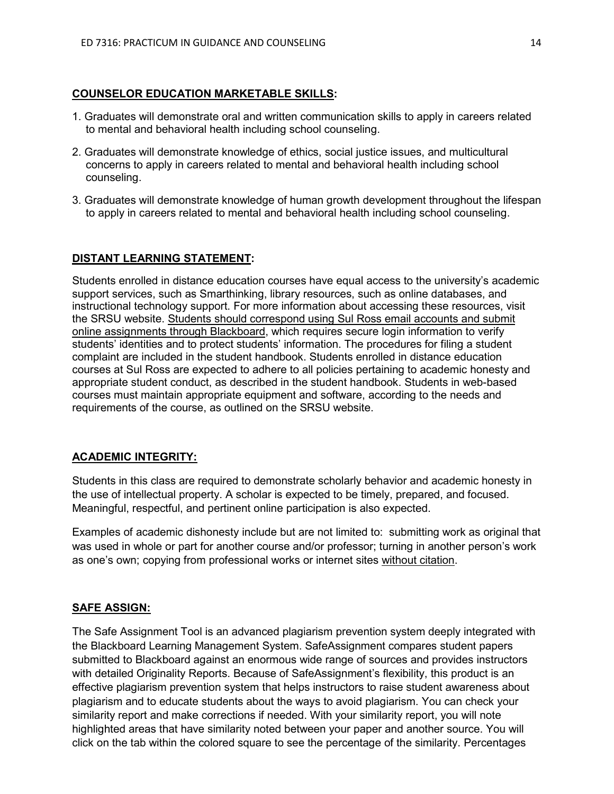#### **COUNSELOR EDUCATION MARKETABLE SKILLS:**

- 1. Graduates will demonstrate oral and written communication skills to apply in careers related to mental and behavioral health including school counseling.
- 2. Graduates will demonstrate knowledge of ethics, social justice issues, and multicultural concerns to apply in careers related to mental and behavioral health including school counseling.
- 3. Graduates will demonstrate knowledge of human growth development throughout the lifespan to apply in careers related to mental and behavioral health including school counseling.

#### **DISTANT LEARNING STATEMENT:**

Students enrolled in distance education courses have equal access to the university's academic support services, such as Smarthinking, library resources, such as online databases, and instructional technology support. For more information about accessing these resources, visit the SRSU website. Students should correspond using Sul Ross email accounts and submit online assignments through Blackboard, which requires secure login information to verify students' identities and to protect students' information. The procedures for filing a student complaint are included in the student handbook. Students enrolled in distance education courses at Sul Ross are expected to adhere to all policies pertaining to academic honesty and appropriate student conduct, as described in the student handbook. Students in web-based courses must maintain appropriate equipment and software, according to the needs and requirements of the course, as outlined on the SRSU website.

#### **ACADEMIC INTEGRITY:**

Students in this class are required to demonstrate scholarly behavior and academic honesty in the use of intellectual property. A scholar is expected to be timely, prepared, and focused. Meaningful, respectful, and pertinent online participation is also expected.

Examples of academic dishonesty include but are not limited to: submitting work as original that was used in whole or part for another course and/or professor; turning in another person's work as one's own; copying from professional works or internet sites without citation.

#### **SAFE ASSIGN:**

The Safe Assignment Tool is an advanced plagiarism prevention system deeply integrated with the Blackboard Learning Management System. SafeAssignment compares student papers submitted to Blackboard against an enormous wide range of sources and provides instructors with detailed Originality Reports. Because of SafeAssignment's flexibility, this product is an effective plagiarism prevention system that helps instructors to raise student awareness about plagiarism and to educate students about the ways to avoid plagiarism. You can check your similarity report and make corrections if needed. With your similarity report, you will note highlighted areas that have similarity noted between your paper and another source. You will click on the tab within the colored square to see the percentage of the similarity. Percentages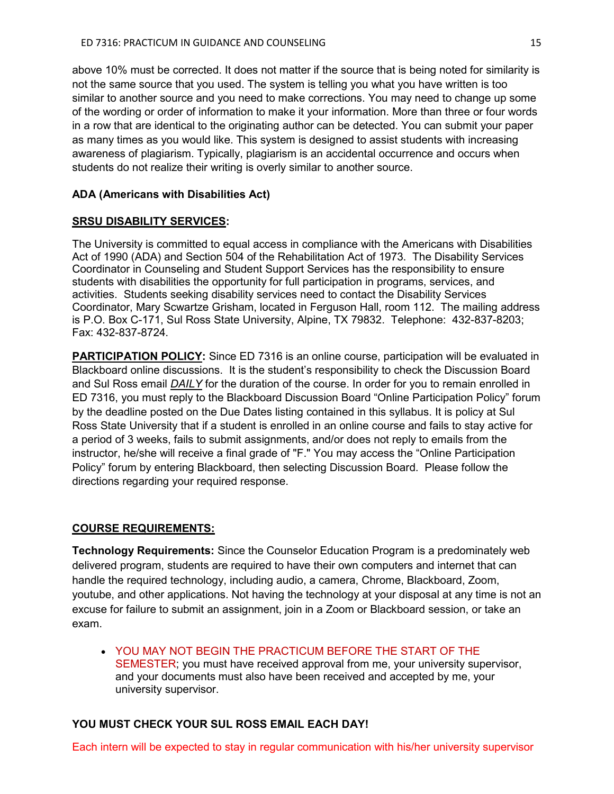above 10% must be corrected. It does not matter if the source that is being noted for similarity is not the same source that you used. The system is telling you what you have written is too similar to another source and you need to make corrections. You may need to change up some of the wording or order of information to make it your information. More than three or four words in a row that are identical to the originating author can be detected. You can submit your paper as many times as you would like. This system is designed to assist students with increasing awareness of plagiarism. Typically, plagiarism is an accidental occurrence and occurs when students do not realize their writing is overly similar to another source.

#### **ADA (Americans with Disabilities Act)**

#### **SRSU DISABILITY SERVICES:**

The University is committed to equal access in compliance with the Americans with Disabilities Act of 1990 (ADA) and Section 504 of the Rehabilitation Act of 1973. The Disability Services Coordinator in Counseling and Student Support Services has the responsibility to ensure students with disabilities the opportunity for full participation in programs, services, and activities. Students seeking disability services need to contact the Disability Services Coordinator, Mary Scwartze Grisham, located in Ferguson Hall, room 112. The mailing address is P.O. Box C-171, Sul Ross State University, Alpine, TX 79832. Telephone: 432-837-8203; Fax: 432-837-8724.

**PARTICIPATION POLICY:** Since ED 7316 is an online course, participation will be evaluated in Blackboard online discussions. It is the student's responsibility to check the Discussion Board and Sul Ross email *DAILY* for the duration of the course. In order for you to remain enrolled in ED 7316, you must reply to the Blackboard Discussion Board "Online Participation Policy" forum by the deadline posted on the Due Dates listing contained in this syllabus. It is policy at Sul Ross State University that if a student is enrolled in an online course and fails to stay active for a period of 3 weeks, fails to submit assignments, and/or does not reply to emails from the instructor, he/she will receive a final grade of "F." You may access the "Online Participation Policy" forum by entering Blackboard, then selecting Discussion Board. Please follow the directions regarding your required response.

#### **COURSE REQUIREMENTS:**

**Technology Requirements:** Since the Counselor Education Program is a predominately web delivered program, students are required to have their own computers and internet that can handle the required technology, including audio, a camera, Chrome, Blackboard, Zoom, youtube, and other applications. Not having the technology at your disposal at any time is not an excuse for failure to submit an assignment, join in a Zoom or Blackboard session, or take an exam.

• YOU MAY NOT BEGIN THE PRACTICUM BEFORE THE START OF THE SEMESTER; you must have received approval from me, your university supervisor, and your documents must also have been received and accepted by me, your university supervisor.

## **YOU MUST CHECK YOUR SUL ROSS EMAIL EACH DAY!**

Each intern will be expected to stay in regular communication with his/her university supervisor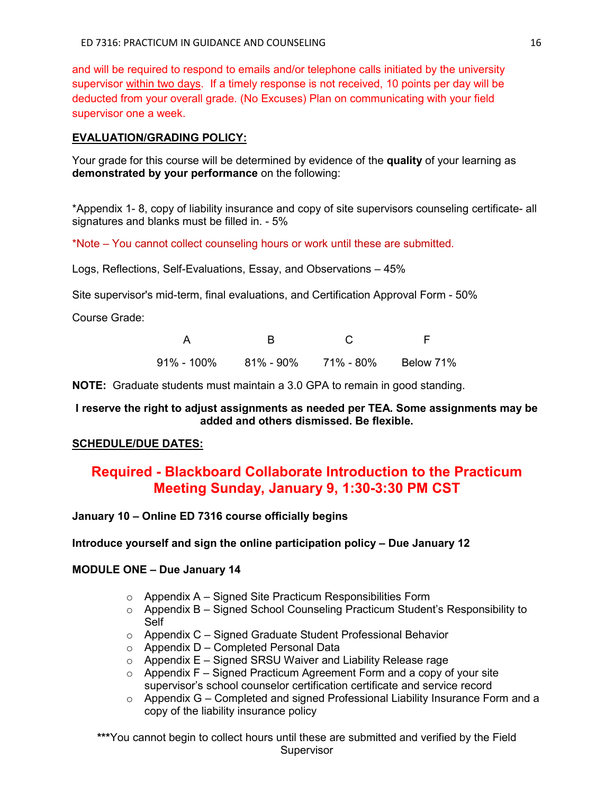and will be required to respond to emails and/or telephone calls initiated by the university supervisor within two days. If a timely response is not received, 10 points per day will be deducted from your overall grade. (No Excuses) Plan on communicating with your field supervisor one a week.

## **EVALUATION/GRADING POLICY:**

Your grade for this course will be determined by evidence of the **quality** of your learning as **demonstrated by your performance** on the following:

\*Appendix 1- 8, copy of liability insurance and copy of site supervisors counseling certificate- all signatures and blanks must be filled in. - 5%

\*Note – You cannot collect counseling hours or work until these are submitted.

Logs, Reflections, Self-Evaluations, Essay, and Observations – 45%

Site supervisor's mid-term, final evaluations, and Certification Approval Form - 50%

Course Grade:

| 91% - 100% | 81% - 90% | 71% - 80% | Below 71% |
|------------|-----------|-----------|-----------|

**NOTE:** Graduate students must maintain a 3.0 GPA to remain in good standing.

## **I reserve the right to adjust assignments as needed per TEA. Some assignments may be added and others dismissed. Be flexible.**

# **SCHEDULE/DUE DATES:**

# **Required - Blackboard Collaborate Introduction to the Practicum Meeting Sunday, January 9, 1:30-3:30 PM CST**

**January 10 – Online ED 7316 course officially begins**

## **Introduce yourself and sign the online participation policy – Due January 12**

## **MODULE ONE – Due January 14**

- $\circ$  Appendix A Signed Site Practicum Responsibilities Form
- $\circ$  Appendix B Signed School Counseling Practicum Student's Responsibility to Self
- o Appendix C Signed Graduate Student Professional Behavior
- $\circ$  Appendix D Completed Personal Data
- $\circ$  Appendix E Signed SRSU Waiver and Liability Release rage
- $\circ$  Appendix F Signed Practicum Agreement Form and a copy of your site supervisor's school counselor certification certificate and service record
- $\circ$  Appendix G Completed and signed Professional Liability Insurance Form and a copy of the liability insurance policy

**\*\*\***You cannot begin to collect hours until these are submitted and verified by the Field Supervisor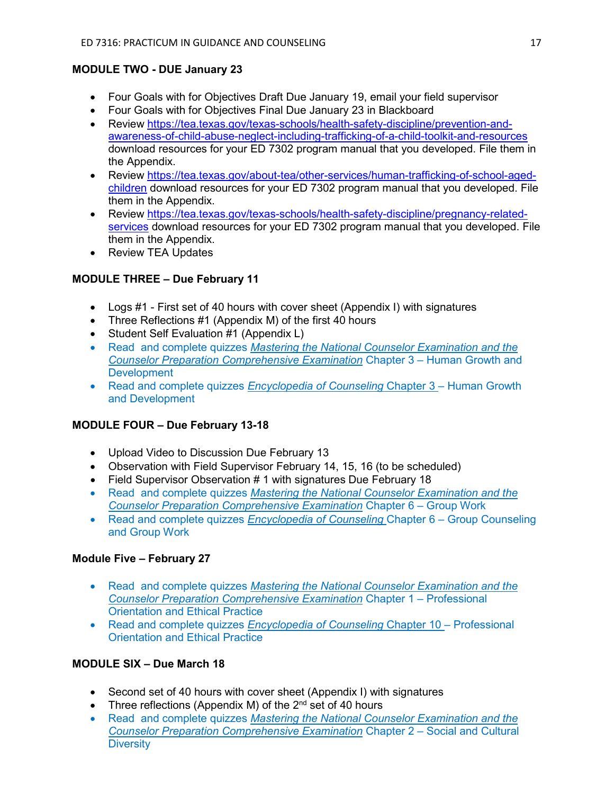# **MODULE TWO - DUE January 23**

- Four Goals with for Objectives Draft Due January 19, email your field supervisor
- Four Goals with for Objectives Final Due January 23 in Blackboard
- Review [https://tea.texas.gov/texas-schools/health-safety-discipline/prevention-and](https://tea.texas.gov/texas-schools/health-safety-discipline/prevention-and-awareness-of-child-abuse-neglect-including-trafficking-of-a-child-toolkit-and-resources)[awareness-of-child-abuse-neglect-including-trafficking-of-a-child-toolkit-and-resources](https://tea.texas.gov/texas-schools/health-safety-discipline/prevention-and-awareness-of-child-abuse-neglect-including-trafficking-of-a-child-toolkit-and-resources) download resources for your ED 7302 program manual that you developed. File them in the Appendix.
- Review [https://tea.texas.gov/about-tea/other-services/human-trafficking-of-school-aged](https://tea.texas.gov/about-tea/other-services/human-trafficking-of-school-aged-children)[children](https://tea.texas.gov/about-tea/other-services/human-trafficking-of-school-aged-children) download resources for your ED 7302 program manual that you developed. File them in the Appendix.
- Review [https://tea.texas.gov/texas-schools/health-safety-discipline/pregnancy-related](https://tea.texas.gov/texas-schools/health-safety-discipline/pregnancy-related-services)[services](https://tea.texas.gov/texas-schools/health-safety-discipline/pregnancy-related-services) download resources for your ED 7302 program manual that you developed. File them in the Appendix.
- Review TEA Updates

# **MODULE THREE – Due February 11**

- Logs #1 First set of 40 hours with cover sheet (Appendix I) with signatures
- Three Reflections #1 (Appendix M) of the first 40 hours
- Student Self Evaluation #1 (Appendix L)
- Read and complete quizzes *Mastering the National Counselor Examination and the Counselor Preparation Comprehensive Examination* Chapter 3 – Human Growth and **Development**
- Read and complete quizzes *Encyclopedia of Counseling* Chapter 3 Human Growth and Development

## **MODULE FOUR – Due February 13-18**

- Upload Video to Discussion Due February 13
- Observation with Field Supervisor February 14, 15, 16 (to be scheduled)
- Field Supervisor Observation # 1 with signatures Due February 18
- Read and complete quizzes *Mastering the National Counselor Examination and the Counselor Preparation Comprehensive Examination* Chapter 6 – Group Work
- Read and complete quizzes *Encyclopedia of Counseling* Chapter 6 Group Counseling and Group Work

## **Module Five – February 27**

- Read and complete quizzes *Mastering the National Counselor Examination and the Counselor Preparation Comprehensive Examination* Chapter 1 – Professional Orientation and Ethical Practice
- Read and complete quizzes *Encyclopedia of Counseling* Chapter 10 Professional Orientation and Ethical Practice

# **MODULE SIX – Due March 18**

- Second set of 40 hours with cover sheet (Appendix I) with signatures
- Three reflections (Appendix M) of the  $2^{nd}$  set of 40 hours
- Read and complete quizzes *Mastering the National Counselor Examination and the Counselor Preparation Comprehensive Examination* Chapter 2 – Social and Cultural **Diversity**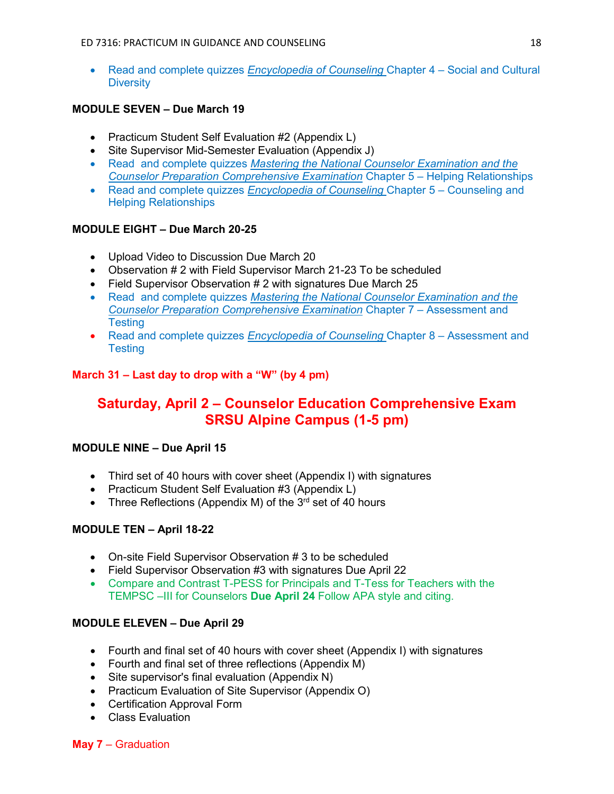• Read and complete quizzes *Encyclopedia of Counseling* Chapter 4 – Social and Cultural **Diversity** 

# **MODULE SEVEN – Due March 19**

- Practicum Student Self Evaluation #2 (Appendix L)
- Site Supervisor Mid-Semester Evaluation (Appendix J)
- Read and complete quizzes *Mastering the National Counselor Examination and the Counselor Preparation Comprehensive Examination* Chapter 5 – Helping Relationships
- Read and complete quizzes *Encyclopedia of Counseling* Chapter 5 Counseling and Helping Relationships

## **MODULE EIGHT – Due March 20-25**

- Upload Video to Discussion Due March 20
- Observation # 2 with Field Supervisor March 21-23 To be scheduled
- Field Supervisor Observation # 2 with signatures Due March 25
- Read and complete quizzes *Mastering the National Counselor Examination and the Counselor Preparation Comprehensive Examination* Chapter 7 – Assessment and **Testing**
- Read and complete quizzes *Encyclopedia of Counseling* Chapter 8 Assessment and **Testing**

# **March 31 – Last day to drop with a "W" (by 4 pm)**

# **Saturday, April 2 – Counselor Education Comprehensive Exam SRSU Alpine Campus (1-5 pm)**

## **MODULE NINE – Due April 15**

- Third set of 40 hours with cover sheet (Appendix I) with signatures
- Practicum Student Self Evaluation #3 (Appendix L)
- Three Reflections (Appendix M) of the  $3<sup>rd</sup>$  set of 40 hours

## **MODULE TEN – April 18-22**

- On-site Field Supervisor Observation # 3 to be scheduled
- Field Supervisor Observation #3 with signatures Due April 22
- Compare and Contrast T-PESS for Principals and T-Tess for Teachers with the TEMPSC –III for Counselors **Due April 24** Follow APA style and citing.

## **MODULE ELEVEN – Due April 29**

- Fourth and final set of 40 hours with cover sheet (Appendix I) with signatures
- Fourth and final set of three reflections (Appendix M)
- Site supervisor's final evaluation (Appendix N)
- Practicum Evaluation of Site Supervisor (Appendix O)
- Certification Approval Form
- Class Evaluation

**May 7** – Graduation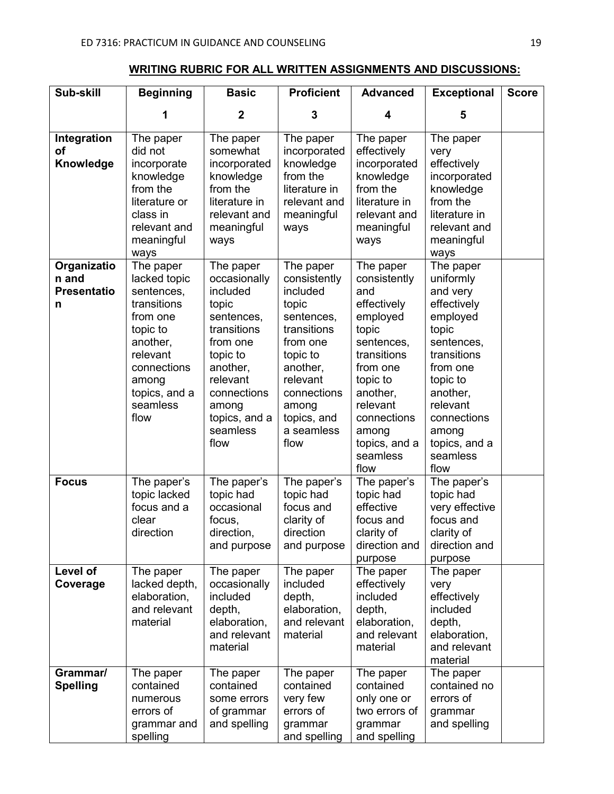# **WRITING RUBRIC FOR ALL WRITTEN ASSIGNMENTS AND DISCUSSIONS:**

| Sub-skill                                       | <b>Beginning</b>                                                                                                                                                    | <b>Basic</b>                                                                                                                                                                             | <b>Proficient</b>                                                                                                                                                                        | <b>Advanced</b>                                                                                                                                                                                                | <b>Exceptional</b>                                                                                                                                                                                               | <b>Score</b> |
|-------------------------------------------------|---------------------------------------------------------------------------------------------------------------------------------------------------------------------|------------------------------------------------------------------------------------------------------------------------------------------------------------------------------------------|------------------------------------------------------------------------------------------------------------------------------------------------------------------------------------------|----------------------------------------------------------------------------------------------------------------------------------------------------------------------------------------------------------------|------------------------------------------------------------------------------------------------------------------------------------------------------------------------------------------------------------------|--------------|
|                                                 | 1                                                                                                                                                                   | $\overline{2}$                                                                                                                                                                           | 3                                                                                                                                                                                        | 4                                                                                                                                                                                                              | 5                                                                                                                                                                                                                |              |
| Integration<br><b>of</b><br>Knowledge           | The paper<br>did not<br>incorporate<br>knowledge<br>from the<br>literature or<br>class in<br>relevant and<br>meaningful<br>ways                                     | The paper<br>somewhat<br>incorporated<br>knowledge<br>from the<br>literature in<br>relevant and<br>meaningful<br>ways                                                                    | The paper<br>incorporated<br>knowledge<br>from the<br>literature in<br>relevant and<br>meaningful<br>ways                                                                                | The paper<br>effectively<br>incorporated<br>knowledge<br>from the<br>literature in<br>relevant and<br>meaningful<br>ways                                                                                       | The paper<br>very<br>effectively<br>incorporated<br>knowledge<br>from the<br>literature in<br>relevant and<br>meaningful<br>ways                                                                                 |              |
| Organizatio<br>n and<br><b>Presentatio</b><br>n | The paper<br>lacked topic<br>sentences,<br>transitions<br>from one<br>topic to<br>another,<br>relevant<br>connections<br>among<br>topics, and a<br>seamless<br>flow | The paper<br>occasionally<br>included<br>topic<br>sentences,<br>transitions<br>from one<br>topic to<br>another,<br>relevant<br>connections<br>among<br>topics, and a<br>seamless<br>flow | The paper<br>consistently<br>included<br>topic<br>sentences,<br>transitions<br>from one<br>topic to<br>another.<br>relevant<br>connections<br>among<br>topics, and<br>a seamless<br>flow | The paper<br>consistently<br>and<br>effectively<br>employed<br>topic<br>sentences,<br>transitions<br>from one<br>topic to<br>another,<br>relevant<br>connections<br>among<br>topics, and a<br>seamless<br>flow | The paper<br>uniformly<br>and very<br>effectively<br>employed<br>topic<br>sentences,<br>transitions<br>from one<br>topic to<br>another,<br>relevant<br>connections<br>among<br>topics, and a<br>seamless<br>flow |              |
| <b>Focus</b>                                    | The paper's<br>topic lacked<br>focus and a<br>clear<br>direction                                                                                                    | The paper's<br>topic had<br>occasional<br>focus,<br>direction,<br>and purpose                                                                                                            | The paper's<br>topic had<br>focus and<br>clarity of<br>direction<br>and purpose                                                                                                          | The paper's<br>topic had<br>effective<br>focus and<br>clarity of<br>direction and<br>purpose                                                                                                                   | The paper's<br>topic had<br>very effective<br>focus and<br>clarity of<br>direction and<br>purpose                                                                                                                |              |
| Level of<br>Coverage                            | The paper<br>lacked depth,<br>elaboration,<br>and relevant<br>material                                                                                              | The paper<br>occasionally<br>included<br>depth,<br>elaboration,<br>and relevant<br>material                                                                                              | The paper<br>included<br>depth,<br>elaboration,<br>and relevant<br>material                                                                                                              | The paper<br>effectively<br>included<br>depth,<br>elaboration,<br>and relevant<br>material                                                                                                                     | The paper<br>very<br>effectively<br>included<br>depth,<br>elaboration,<br>and relevant<br>material                                                                                                               |              |
| Grammar/<br><b>Spelling</b>                     | The paper<br>contained<br>numerous<br>errors of<br>grammar and<br>spelling                                                                                          | The paper<br>contained<br>some errors<br>of grammar<br>and spelling                                                                                                                      | The paper<br>contained<br>very few<br>errors of<br>grammar<br>and spelling                                                                                                               | The paper<br>contained<br>only one or<br>two errors of<br>grammar<br>and spelling                                                                                                                              | The paper<br>contained no<br>errors of<br>grammar<br>and spelling                                                                                                                                                |              |